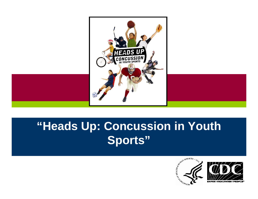

#### **"Heads Up: Concussion in Youth Sports"**

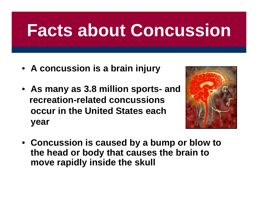## **Facts about Concussion**

- **A concussion is a brain injury**
- **As many as 3.8 million sports- and recreation-related concussions occur in the United States each year**



• **Concussion is caused by a bump or blow to the head or body that causes the brain to move rapidly inside the skull**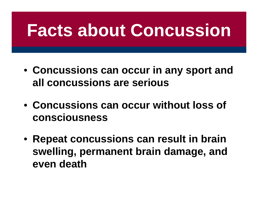## **Facts about Concussion**

- **Concussions can occur in any sport and all concussions are serious**
- **Concussions can occur without loss of consciousness**   $\mathcal{L}$
- **Repeat concussions can result in brain swelling, permanent brain damage, and even death**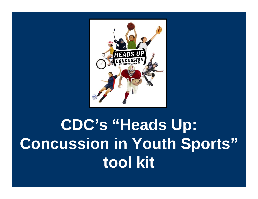

### **CDC's "Heads Up: Concussion in Youth Sports" tool kit**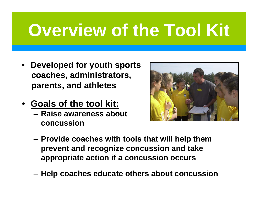## **Overview of the Tool Kit**

- **Developed for youth sports coaches, administrators, parents, and athletes**
- **Goals of the tool kit:**<br>**Raise awarenees abou** 
	- **Raise awareness about concussion**  The Contract



- **Provide coaches with tools that will help them prevent and recognize concussion and take appropriate action if a concussion occurs**
- **Help coaches educate others about concussion**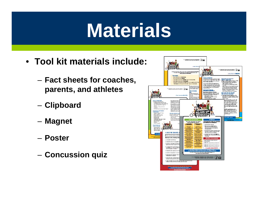## **Materials**

- **Tool kit materials include:**
	- **Fact sheets for coaches, parents, and athletes**
	- **Clipboard**
	- **Magnet**
	- **Poster**
	- **Concussion quiz**

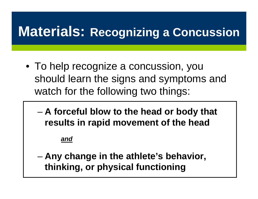#### **Materials: Recognizing a Concussion**

- To help recognize a concussion, you should learn the signs and symptoms and watch for the following two things:
	- **A forceful blow to the head or body that results in rapid movement of the head**

*and*

– **Any change in the athlete's behavior, thinking, or physical functioning**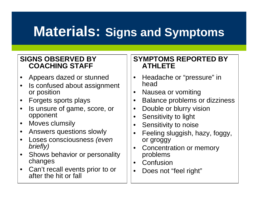### **Materials: Signs and Symptoms**

#### **SIGNS OBSERVED BY COACHING STAFF**

- Appears dazed or stunned
- Is confused about assignment or position
- Forgets sports plays
- Is unsure of game, score, or opponent
- Moves clumsily
- Answers questions slowly
- Loses consciousness *(even briefly)*
- Shows behavior or personality changes
- Can't recall events prior to or after the hit or fall

#### **SYMPTOMS REPORTED BY ATHLETE**

- Headache or "pressure" in head
- Nausea or vomiting
- Balance problems or dizziness
- Double or blurry vision
- Sensitivity to light
- Sensitivity to noise
- Feeling sluggish, hazy, foggy, or groggy
- Concentration or memory problems
- $\bullet$ **Confusion**
- Does not "feel right"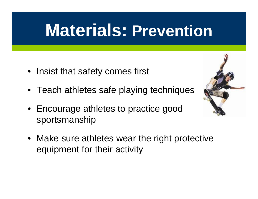### **Materials: Prevention**

- Insist that safety comes first
- Teach athletes safe playing techniques
- **Encourage athletes to practice good** sportsmanship
- Make sure athletes wear the right protective equipment for their activity

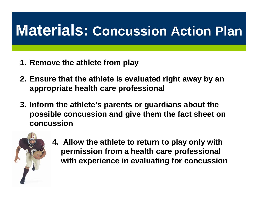### **Materials: Concussion Action Plan**

- **1. Remove the athlete from play**
- **2. Ensure that the athlete is evaluated right away by an appropriate health care professional**
- **3. Inform the athlete's parents or guardians about the possible concussion and give them the fact sheet on concussion**



**4. Allow the athlete to return to play only with permission from a health care professional with experience in evaluating for concussion**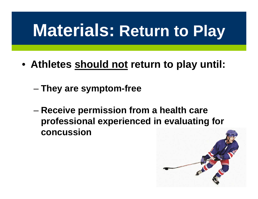## **Materials: Return to Play**

- **Athletes should not return to play until:**
	- **They are symptom-free**
	- **concussion**  – **Receive permission from a health care professional experienced in evaluating for**

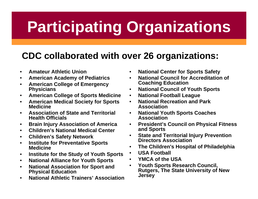### **Participating Organizations**

#### **CDC collaborated with over 26 organizations:**

- **Amateur Athletic Union**
- **American Academy of Pediatrics**
- **American College of Emergency Coaching Education<br>
Physicians National Council of \**
- **American College of Sports Medicine National Football League**
- **American Medical Society for Sports Medicine**
- **Association of State and Territorial National Youth Sports Coaches Association**<br> **Health Officials Association**
- **Brain Injury Association of America**
- **Children's National Medical Center**
- **Children's Safety Network**
- **Institute for Preventative Sports Medicine**
- **USA Football Institute for the Study of Youth Sports**
- **National Alliance for Youth Sports**
- **National Association for Sport and**
- **National Athletic Trainers' Association**
- **National Center for Sports Safety**
- **National Council for Accreditation of**
- **Physicians National Council of Youth Sports**
- 
- $\bullet$ **National Recreation and Park Association**
- 
- **President's Council on Physical Fitness and Sports**
- **State and Territorial Injury Prevention Directors Association**
- **The Children's Hospital of Philadelphia**
- 
- 
- **YMCA of the USA**<br>**Youth Sports Research Council, Physical Education Rutgers, The State University of New Jersey** •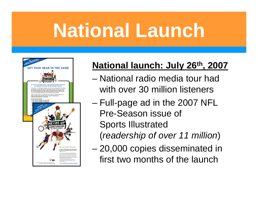# **National Launch**



#### **National launch: July 26th, 2007**

- National radio media tour had with over 30 million listeners
- $\mathbf{r}$ – Full-page ad in the 2007 NFL Pre-Season issue of Sports Illustrated
	- (*readership of over 11 million*)
- 20,000 copies disseminated in first two months of the launch  $\frac{1}{2}$  $\overline{a}$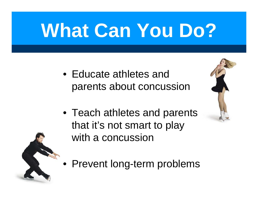# **What Can You Do?**

- Educate athletes and parents about concussion
- Teach athletes and parents that it's not smart to play with a concussion
- Prevent long-term problems

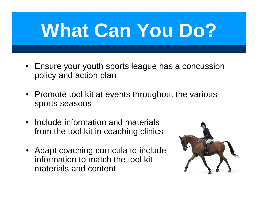# **What Can You Do?**

- Ensure your youth sports league has a concussion policy and action plan
- Promote tool kit at events throughout the various sports seasons
- Include information and materials  $\sim$ from the tool kit in coaching clinics
- Adapt coaching curricula to include information to match the tool kit materials and content

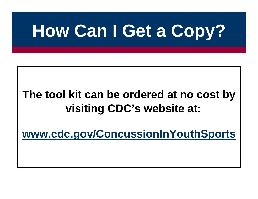## **How Can I Get a Copy?**

#### **The tool kit can be ordered at no cost by visiting CDC's website at:** and the second second

**www.cdc.gov/ConcussionInYouthSports** and the state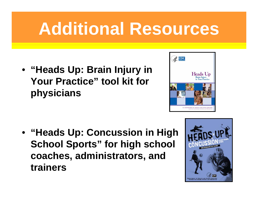## **Additional Resources**

- **"Heads Up: Brain Injury in Your Practice" tool kit for physicians**
- $AC$ **Heads** Up
- **"Heads Up: Concussion in High School Sports" for high school coaches, administrators, and trainers**